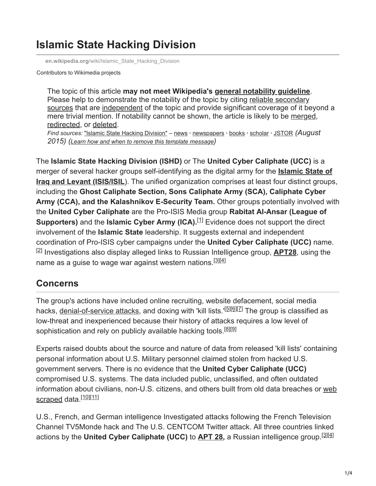# **Islamic State Hacking Division**

**en.wikipedia.org**[/wiki/Islamic\\_State\\_Hacking\\_Division](https://en.wikipedia.org/wiki/Islamic_State_Hacking_Division)

Contributors to Wikimedia projects

The topic of this article **may not meet Wikipedia's [general notability guideline](https://en.wikipedia.org/wiki/Wikipedia:Notability)**. [Please help to demonstrate the notability of the topic by citing reliable secondary](https://en.wikipedia.org/wiki/Wikipedia:Reliable_sources) sources that are [independent](https://en.wikipedia.org/wiki/Wikipedia:Identifying_and_using_independent_sources) of the topic and provide significant coverage of it beyond a mere trivial mention. If notability cannot be shown, the article is likely to be [merged](https://en.wikipedia.org/wiki/Wikipedia:Merging), [redirected](https://en.wikipedia.org/wiki/Wikipedia:Redirect), or [deleted](https://en.wikipedia.org/wiki/Wikipedia:Deletion_policy).

*Find sources:* "Islamic State Hacking [Division"](https://www.google.com/search?as_eq=wikipedia&q=%22Islamic+State+Hacking+Division%22) – [news](https://www.google.com/search?tbm=nws&q=%22Islamic+State+Hacking+Division%22+-wikipedia&tbs=ar:1) **·** [newspapers](https://www.google.com/search?&q=%22Islamic+State+Hacking+Division%22&tbs=bkt:s&tbm=bks) **·** [books](https://www.google.com/search?tbs=bks:1&q=%22Islamic+State+Hacking+Division%22+-wikipedia) **·** [scholar](https://scholar.google.com/scholar?q=%22Islamic+State+Hacking+Division%22) **·** [JSTOR](https://www.jstor.org/action/doBasicSearch?Query=%22Islamic+State+Hacking+Division%22&acc=on&wc=on) *(August 2015) (Learn how and when to remove this template [message](https://en.wikipedia.org/wiki/Help:Maintenance_template_removal))*

The **Islamic State Hacking Division (ISHD)** or The **United Cyber Caliphate (UCC)** is a [merger of several hacker groups self-identifying as the digital army for the](https://en.wikipedia.org/wiki/Islamic_State_of_Iraq_and_the_Levant) **Islamic State of Iraq and Levant (ISIS/ISIL)**. The unified organization comprises at least four distinct groups, including the **Ghost Caliphate Section, Sons Caliphate Army (SCA), Caliphate Cyber Army (CCA), and the Kalashnikov E-Security Team.** Other groups potentially involved with the **United Cyber Caliphate** are the Pro-ISIS Media group **Rabitat Al-Ansar (League of Supporters)** and the **Islamic Cyber Army (ICA).**<sup>[1]</sup> Evidence does not support the direct involvement of the **Islamic State** leadership. It suggests external and independent coordination of Pro-ISIS cyber campaigns under the **United Cyber Caliphate (UCC)** name. <sup>[2]</sup> Investigations also display alleged links to Russian Intelligence group, [APT28](https://en.wikipedia.org/wiki/APT28), using the name as a guise to wage war against western nations.<sup>[3][4]</sup>

## **Concerns**

The group's actions have included online recruiting, website defacement, social media hacks, <u>[denial-of-service attacks](https://en.wikipedia.org/wiki/Denial-of-service_attack)</u>, and doxing with 'kill lists.'<sup>[5][6][7]</sup> The group is classified as low-threat and inexperienced because their history of attacks requires a low level of sophistication and rely on publicly available hacking tools.<sup>[8][9]</sup>

Experts raised doubts about the source and nature of data from released 'kill lists' containing personal information about U.S. Military personnel claimed stolen from hacked U.S. government servers. There is no evidence that the **United Cyber Caliphate (UCC)** compromised U.S. systems. The data included public, unclassified, and often outdated [information about civilians, non-U.S. citizens, and others built from old data breaches or web](https://en.wikipedia.org/wiki/Web_scraping) scraped data.<sup>[10][11]</sup>

U.S., French, and German intelligence Investigated attacks following the French Television Channel TV5Monde hack and The U.S. CENTCOM Twitter attack. All three countries linked actions by the **United Cyber Caliphate (UCC)** to **[APT 28](https://en.wikipedia.org/wiki/APT_28),** a Russian intelligence group. [3][4]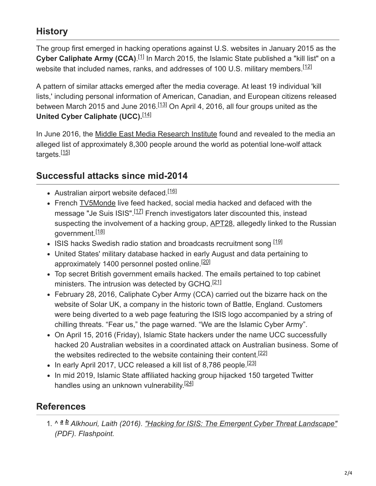## **History**

The group first emerged in hacking operations against U.S. websites in January 2015 as the Cyber Caliphate Army (CCA).<sup>[1]</sup> In March 2015, the Islamic State published a "kill list" on a website that included names, ranks, and addresses of 100 U.S. military members.<sup>[12]</sup>

A pattern of similar attacks emerged after the media coverage. At least 19 individual 'kill lists,' including personal information of American, Canadian, and European citizens released between March 2015 and June 2016.<sup>[13]</sup> On April 4, 2016, all four groups united as the United Cyber Caliphate (UCC).<sup>[14]</sup>

In June 2016, the [Middle East Media Research Institute](https://en.wikipedia.org/wiki/Middle_East_Media_Research_Institute) found and revealed to the media an alleged list of approximately 8,300 people around the world as potential lone-wolf attack targets.<sup>[15]</sup>

#### **Successful attacks since mid-2014**

- Australian airport website defaced.<sup>[16]</sup>
- French [TV5Monde](https://en.wikipedia.org/wiki/TV5Monde) live feed hacked, social media hacked and defaced with the message "Je Suis ISIS".<sup>[17]</sup> French investigators later discounted this, instead suspecting the involvement of a hacking group, [APT28,](https://en.wikipedia.org/wiki/APT28) allegedly linked to the Russian government.<sup>[18]</sup>
- ISIS hacks Swedish radio station and broadcasts recruitment song [19]
- United States' military database hacked in early August and data pertaining to approximately 1400 personnel posted online.<sup>[20]</sup>
- Top secret British government emails hacked. The emails pertained to top cabinet ministers. The intrusion was detected by GCHQ.<sup>[21]</sup>
- February 28, 2016, Caliphate Cyber Army (CCA) carried out the bizarre hack on the website of Solar UK, a company in the historic town of Battle, England. Customers were being diverted to a web page featuring the ISIS logo accompanied by a string of chilling threats. "Fear us," the page warned. "We are the Islamic Cyber Army".
- On April 15, 2016 (Friday), Islamic State hackers under the name UCC successfully hacked 20 Australian websites in a coordinated attack on Australian business. Some of the websites redirected to the website containing their content.<sup>[22]</sup>
- In early April 2017, UCC released a kill list of 8,786 people.<sup>[23]</sup>
- In mid 2019, Islamic State affiliated hacking group hijacked 150 targeted Twitter handles using an unknown vulnerability.<sup>[24]</sup>

#### **References**

1. ^ a **b** Alkhouri, Laith (2016). <u>["Hacking for ISIS: The Emergent Cyber Threat Landscape"](https://fortunascorner.com/wp-content/uploads/2016/05/Flashpoint_HackingForISIS_April2016-1.pdf)</u> *(PDF). Flashpoint.*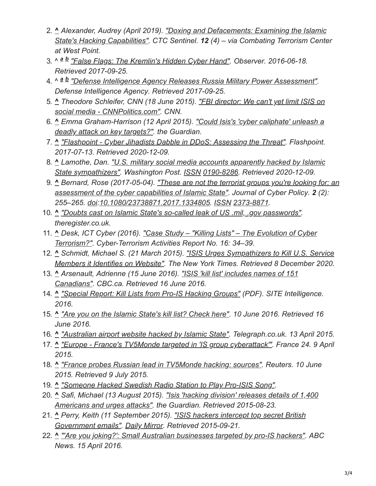- 2. **^** *[Alexander, Audrey \(April 2019\). "Doxing and Defacements: Examining the Islamic](https://ctc.usma.edu/doxing-defacements-examining-islamic-states-hacking-capabilities/) State's Hacking Capabilities". CTC Sentinel. 12 (4) – via Combating Terrorism Center at West Point.*
- 3. ^ <sup>a b</sup> ["False Flags: The Kremlin's Hidden Cyber Hand"](https://observer.com/2016/06/false-flags-the-kremlins-hidden-cyber-hand/). Observer. 2016-06-18. *Retrieved 2017-09-25.*
- 4. ^ *["Defense Intelligence Agency Releases Russia Military Power Assessment".](http://www.dia.mil/News/Articles/Article/1232488/defense-intelligence-agency-releases-russia-military-power-assessment/) a bDefense Intelligence Agency. Retrieved 2017-09-25.*
- 5. **^** *[Theodore Schleifer, CNN \(18 June 2015\). "FBI director: We can't yet limit ISIS on](http://edition.cnn.com/2015/06/18/politics/fbi-social-media-attacks/) social media - CNNPolitics.com". CNN.*
- 6. **^** *[Emma Graham-Harrison \(12 April 2015\). "Could Isis's 'cyber caliphate' unleash a](https://www.theguardian.com/world/2015/apr/12/isis-cyber-caliphate-hacking-technology-arms-race) deadly attack on key targets?". the Guardian.*
- 7. **^** *["Flashpoint Cyber Jihadists Dabble in DDoS: Assessing the Threat".](https://www.flashpoint-intel.com/de/blog/cyber-jihadists-ddos/) Flashpoint. 2017-07-13. Retrieved 2020-12-09.*
- 8. **^** *[Lamothe, Dan. "U.S. military social media accounts apparently hacked by Islamic](https://www.washingtonpost.com/news/checkpoint/wp/2015/01/12/centcom-twitter-account-apparently-hacked-by-islamic-state-sympathizers/) State sympathizers". Washington Post. [ISSN](https://en.wikipedia.org/wiki/ISSN_(identifier)) [0190-8286.](https://www.worldcat.org/issn/0190-8286) Retrieved 2020-12-09.*
- 9. **^** *[Bernard, Rose \(2017-05-04\). "These are not the terrorist groups you're looking for: an](https://doi.org/10.1080/23738871.2017.1334805) assessment of the cyber capabilities of Islamic State". Journal of Cyber Policy. 2 (2): 255–265. [doi](https://en.wikipedia.org/wiki/Doi_(identifier)):[10.1080/23738871.2017.1334805.](https://doi.org/10.1080%2F23738871.2017.1334805) [ISSN](https://en.wikipedia.org/wiki/ISSN_(identifier)) [2373-8871](https://www.worldcat.org/issn/2373-8871).*
- 10. **^** *["Doubts cast on Islamic State's so-called leak of US .mil, .gov passwords"](https://www.theregister.co.uk/2015/08/12/islamic_panic/). theregister.co.uk.*
- 11. **^** *[Desk, ICT Cyber \(2016\). "Case Study "Killing Lists" The Evolution of Cyber](https://www.jstor.org/stable/resrep09466.7) Terrorism?". Cyber-Terrorism Activities Report No. 16: 34–39.*
- 12. **^** *Schmidt, Michael S. (21 March 2015). "ISIS Urges Sympathizers to Kill U.S. Service [Members it Identifies on Website". The New York Times. Retrieved 8 December 2020.](https://www.nytimes.com/2015/03/22/world/middleeast/isis-urges-sympathizers-to-kill-us-service-members-it-identifies-on-website.html)*
- 13. **^** *[Arsenault, Adrienne \(15 June 2016\). "ISIS 'kill list' includes names of 151](http://www.cbc.ca/news/canada/isis-kill-list-canadians-1.3637214) Canadians". CBC.ca. Retrieved 16 June 2016.*
- 14. **^** *["Special Report: Kill Lists from Pro-IS Hacking Groups"](http://sitemultimedia.org/docs/SITE_Analysis_of_Islamic_State_Kill_Lists.pdf) (PDF). SITE Intelligence. 2016.*
- 15. **^** *["Are you on the Islamic State's kill list? Check here".](http://zeenews.india.com/news/india/are-you-on-the-islamic-states-kill-list-check-here_1893681.html) 10 June 2016. Retrieved 16 June 2016.*
- 16. **^** *["Australian airport website hacked by Islamic State".](https://www.telegraph.co.uk/news/worldnews/islamic-state/11531794/Australian-airport-website-hacked-by-Islamic-State.html) Telegraph.co.uk. 13 April 2015.*
- 17. **^** *["Europe France's TV5Monde targeted in 'IS group cyberattack'".](http://www.france24.com/en/20150409-france-tv5monde-is-group-hacking) France 24. 9 April 2015.*
- 18. **^** *["France probes Russian lead in TV5Monde hacking: sources"](https://www.reuters.com/article/us-france-russia-cybercrime-idUSKBN0OQ2GG20150610). Reuters. 10 June 2015. Retrieved 9 July 2015.*
- 19. **^** *["Someone Hacked Swedish Radio Station to Play Pro-ISIS Song"](https://www.hackread.com/someone-hacked-swedish-radio-station-play-pro-isis-song/).*
- 20. **^** *[Safi, Michael \(13 August 2015\). "Isis 'hacking division' releases details of 1,400](https://www.theguardian.com/world/2015/aug/13/isis-hacking-division-releases-details-of-1400-americans-and-urges-attacks) Americans and urges attacks". the Guardian. Retrieved 2015-08-23.*
- 21. **^** *[Perry, Keith \(11 September 2015\). "ISIS hackers intercept top secret British](https://www.mirror.co.uk/news/uk-news/isis-hackers-intercept-top-secret-6428423) Government emails". [Daily Mirror.](https://en.wikipedia.org/wiki/Daily_Mirror) Retrieved 2015-09-21.*
- 22. **^** *["'Are you joking?': Small Australian businesses targeted by pro-IS hackers"](https://www.abc.net.au/news/2016-04-15/pro-islamic-state-cyber-group-hack-websites-of-small-businesses/7329858). ABC News. 15 April 2016.*